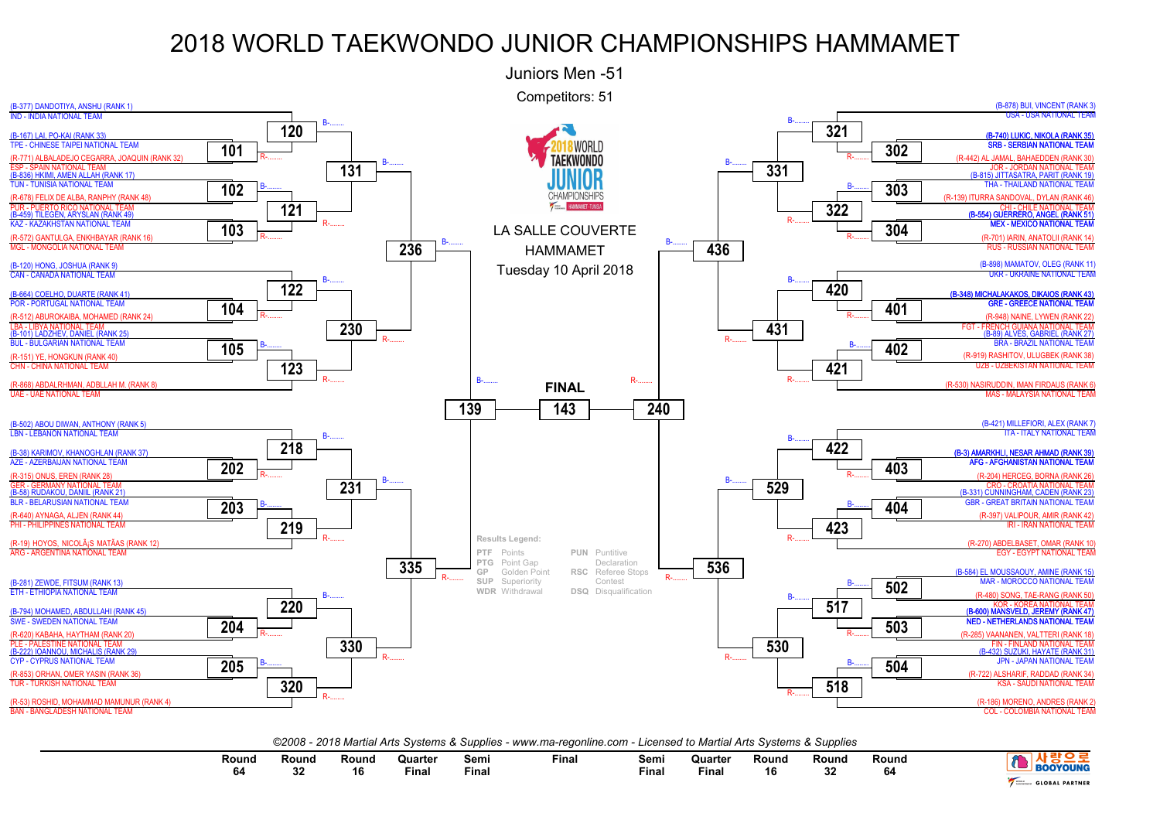

*©2008 - 2018 Martial Arts Systems & Supplies - www.ma-regonline.com - Licensed to Martial Arts Systems & Supplies*

| Round | Round | Round | Quarteı<br>Final | Semi<br>Finar | Fina. | Semi<br>Fina | ่านarter<br>Fina. | Rounc<br>16 | Rouno<br>ູ | Round<br>94 | <b>OUNG</b>              |
|-------|-------|-------|------------------|---------------|-------|--------------|-------------------|-------------|------------|-------------|--------------------------|
|       |       |       |                  |               |       |              |                   |             |            |             | <b>PARTNEP</b><br>GLOBAL |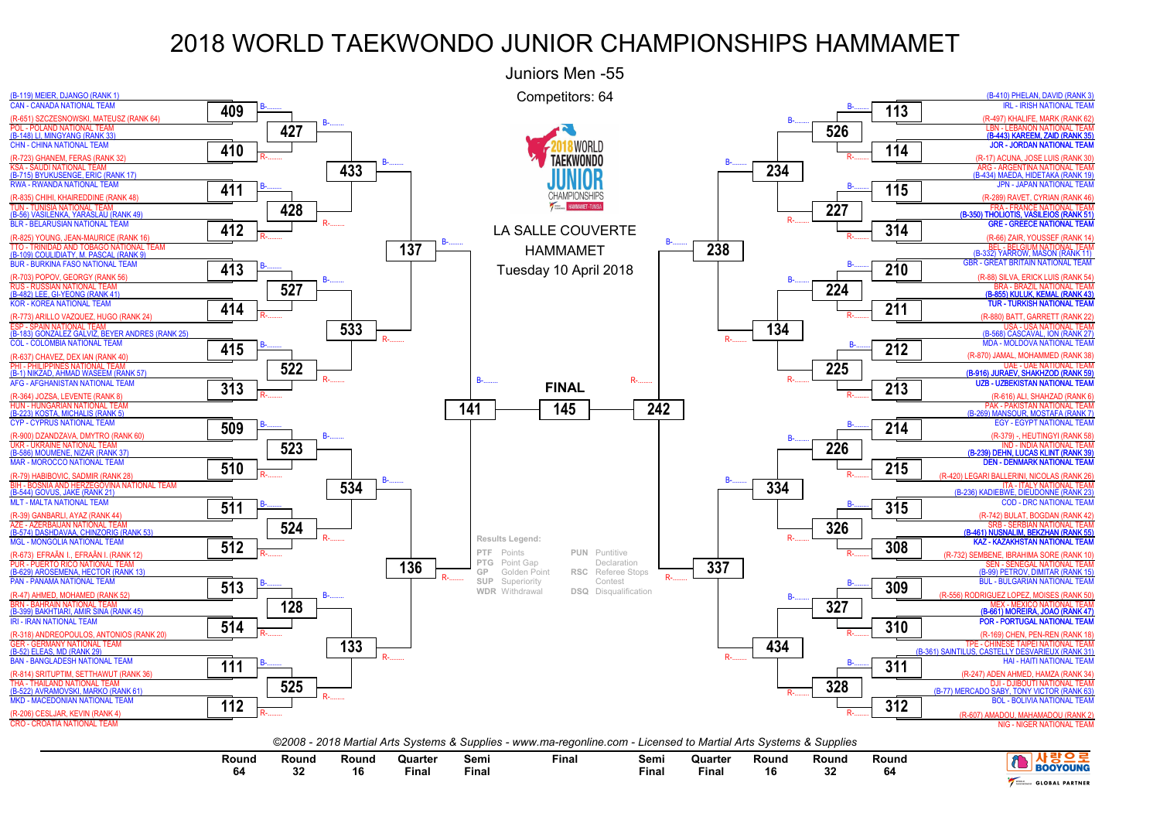

| Round | Round | Round | Quarter<br>the contract of the contract of the contract of | Semi  | Final | Semi  | Quarter<br>the contract of the contract of the contract of | Round | Round    | Round |                       |
|-------|-------|-------|------------------------------------------------------------|-------|-------|-------|------------------------------------------------------------|-------|----------|-------|-----------------------|
|       |       | 16    | Fina.                                                      | Fina. |       | Fina. | Fina.                                                      | 16    | nn.<br>◡ |       | <b>BOOYOUNG</b>       |
|       | v     |       |                                                            |       |       |       |                                                            |       |          |       | <b>GLOBAL PARTNER</b> |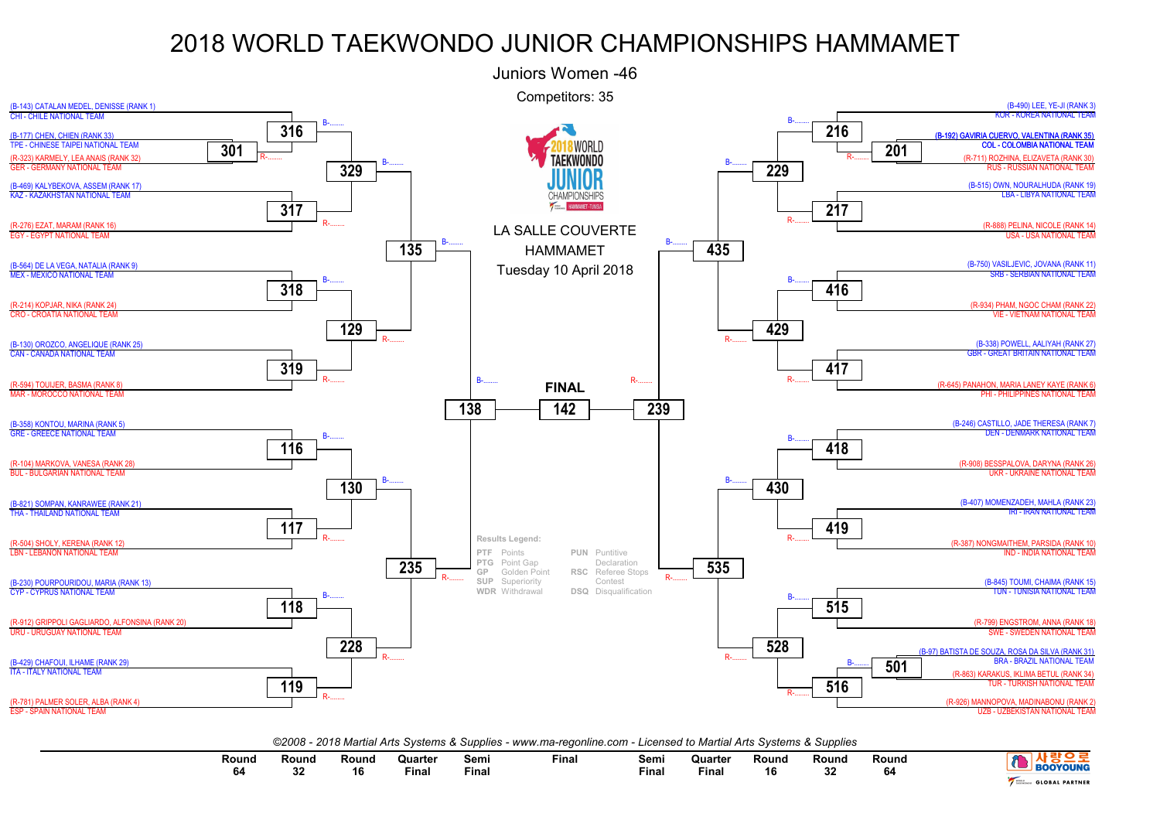

*©2008 - 2018 Martial Arts Systems & Supplies - www.ma-regonline.com - Licensed to Martial Arts Systems & Supplies*

| Round<br>na | $\overline{\phantom{0}}$<br>Rounc<br> | Round | Quarter<br>the contract of the contract of the contract of<br>Final | Semı<br><b>Final</b> | Fina. | Sem.<br>Fina | <b>Quarter</b><br>the contract of the contract of the contract of<br>Final | <b>Round</b><br>16 | Round<br>e e<br>ےت | Rounc. | YOUNG                           |
|-------------|---------------------------------------|-------|---------------------------------------------------------------------|----------------------|-------|--------------|----------------------------------------------------------------------------|--------------------|--------------------|--------|---------------------------------|
|             |                                       |       |                                                                     |                      |       |              |                                                                            |                    |                    |        | <b>PARTNER</b><br><b>GLOBAL</b> |